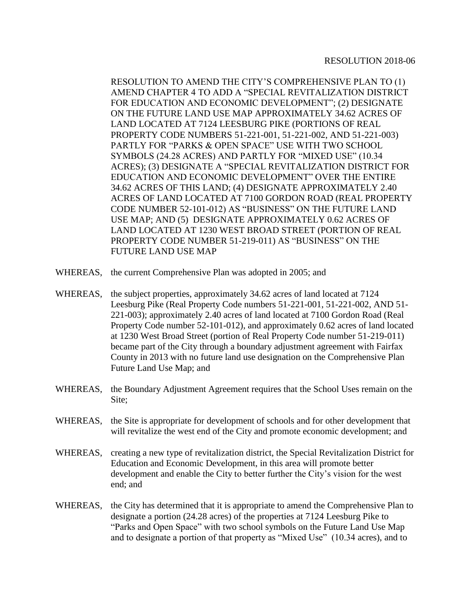RESOLUTION TO AMEND THE CITY'S COMPREHENSIVE PLAN TO (1) AMEND CHAPTER 4 TO ADD A "SPECIAL REVITALIZATION DISTRICT FOR EDUCATION AND ECONOMIC DEVELOPMENT"; (2) DESIGNATE ON THE FUTURE LAND USE MAP APPROXIMATELY 34.62 ACRES OF LAND LOCATED AT 7124 LEESBURG PIKE (PORTIONS OF REAL PROPERTY CODE NUMBERS 51-221-001, 51-221-002, AND 51-221-003) PARTLY FOR "PARKS & OPEN SPACE" USE WITH TWO SCHOOL SYMBOLS (24.28 ACRES) AND PARTLY FOR "MIXED USE" (10.34 ACRES); (3) DESIGNATE A "SPECIAL REVITALIZATION DISTRICT FOR EDUCATION AND ECONOMIC DEVELOPMENT" OVER THE ENTIRE 34.62 ACRES OF THIS LAND; (4) DESIGNATE APPROXIMATELY 2.40 ACRES OF LAND LOCATED AT 7100 GORDON ROAD (REAL PROPERTY CODE NUMBER 52-101-012) AS "BUSINESS" ON THE FUTURE LAND USE MAP; AND (5) DESIGNATE APPROXIMATELY 0.62 ACRES OF LAND LOCATED AT 1230 WEST BROAD STREET (PORTION OF REAL PROPERTY CODE NUMBER 51-219-011) AS "BUSINESS" ON THE FUTURE LAND USE MAP

- WHEREAS, the current Comprehensive Plan was adopted in 2005; and
- WHEREAS, the subject properties, approximately 34.62 acres of land located at 7124 Leesburg Pike (Real Property Code numbers 51-221-001, 51-221-002, AND 51- 221-003); approximately 2.40 acres of land located at 7100 Gordon Road (Real Property Code number 52-101-012), and approximately 0.62 acres of land located at 1230 West Broad Street (portion of Real Property Code number 51-219-011) became part of the City through a boundary adjustment agreement with Fairfax County in 2013 with no future land use designation on the Comprehensive Plan Future Land Use Map; and
- WHEREAS, the Boundary Adjustment Agreement requires that the School Uses remain on the Site;
- WHEREAS, the Site is appropriate for development of schools and for other development that will revitalize the west end of the City and promote economic development; and
- WHEREAS, creating a new type of revitalization district, the Special Revitalization District for Education and Economic Development, in this area will promote better development and enable the City to better further the City's vision for the west end; and
- WHEREAS, the City has determined that it is appropriate to amend the Comprehensive Plan to designate a portion (24.28 acres) of the properties at 7124 Leesburg Pike to "Parks and Open Space" with two school symbols on the Future Land Use Map and to designate a portion of that property as "Mixed Use" (10.34 acres), and to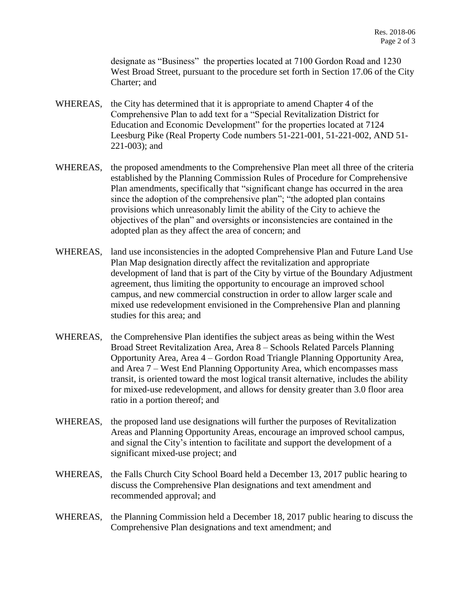designate as "Business" the properties located at 7100 Gordon Road and 1230 West Broad Street, pursuant to the procedure set forth in Section 17.06 of the City Charter; and

- WHEREAS, the City has determined that it is appropriate to amend Chapter 4 of the Comprehensive Plan to add text for a "Special Revitalization District for Education and Economic Development" for the properties located at 7124 Leesburg Pike (Real Property Code numbers 51-221-001, 51-221-002, AND 51- 221-003); and
- WHEREAS, the proposed amendments to the Comprehensive Plan meet all three of the criteria established by the Planning Commission Rules of Procedure for Comprehensive Plan amendments, specifically that "significant change has occurred in the area since the adoption of the comprehensive plan"; "the adopted plan contains provisions which unreasonably limit the ability of the City to achieve the objectives of the plan" and oversights or inconsistencies are contained in the adopted plan as they affect the area of concern; and
- WHEREAS, land use inconsistencies in the adopted Comprehensive Plan and Future Land Use Plan Map designation directly affect the revitalization and appropriate development of land that is part of the City by virtue of the Boundary Adjustment agreement, thus limiting the opportunity to encourage an improved school campus, and new commercial construction in order to allow larger scale and mixed use redevelopment envisioned in the Comprehensive Plan and planning studies for this area; and
- WHEREAS, the Comprehensive Plan identifies the subject areas as being within the West Broad Street Revitalization Area, Area 8 – Schools Related Parcels Planning Opportunity Area, Area 4 – Gordon Road Triangle Planning Opportunity Area, and Area 7 – West End Planning Opportunity Area, which encompasses mass transit, is oriented toward the most logical transit alternative, includes the ability for mixed-use redevelopment, and allows for density greater than 3.0 floor area ratio in a portion thereof; and
- WHEREAS, the proposed land use designations will further the purposes of Revitalization Areas and Planning Opportunity Areas, encourage an improved school campus, and signal the City's intention to facilitate and support the development of a significant mixed-use project; and
- WHEREAS, the Falls Church City School Board held a December 13, 2017 public hearing to discuss the Comprehensive Plan designations and text amendment and recommended approval; and
- WHEREAS, the Planning Commission held a December 18, 2017 public hearing to discuss the Comprehensive Plan designations and text amendment; and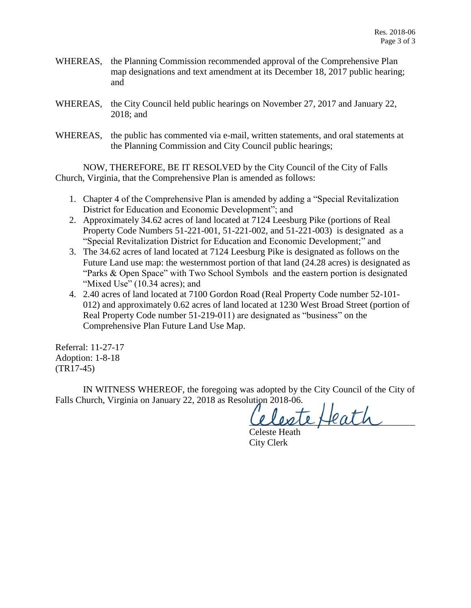- WHEREAS, the Planning Commission recommended approval of the Comprehensive Plan map designations and text amendment at its December 18, 2017 public hearing; and
- WHEREAS, the City Council held public hearings on November 27, 2017 and January 22, 2018; and
- WHEREAS, the public has commented via e-mail, written statements, and oral statements at the Planning Commission and City Council public hearings;

NOW, THEREFORE, BE IT RESOLVED by the City Council of the City of Falls Church, Virginia, that the Comprehensive Plan is amended as follows:

- 1. Chapter 4 of the Comprehensive Plan is amended by adding a "Special Revitalization District for Education and Economic Development"; and
- 2. Approximately 34.62 acres of land located at 7124 Leesburg Pike (portions of Real Property Code Numbers 51-221-001, 51-221-002, and 51-221-003) is designated as a "Special Revitalization District for Education and Economic Development;" and
- 3. The 34.62 acres of land located at 7124 Leesburg Pike is designated as follows on the Future Land use map: the westernmost portion of that land (24.28 acres) is designated as "Parks & Open Space" with Two School Symbols and the eastern portion is designated "Mixed Use" (10.34 acres); and
- 4. 2.40 acres of land located at 7100 Gordon Road (Real Property Code number 52-101- 012) and approximately 0.62 acres of land located at 1230 West Broad Street (portion of Real Property Code number 51-219-011) are designated as "business" on the Comprehensive Plan Future Land Use Map.

Referral: 11-27-17 Adoption: 1-8-18 (TR17-45)

IN WITNESS WHEREOF, the foregoing was adopted by the City Council of the City of Falls Church, Virginia on January 22, 2018 as Resolution 2018-06.

ante Heath

Celeste Heath City Clerk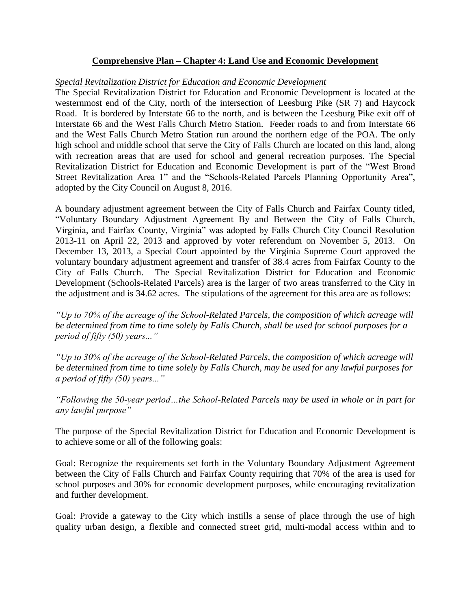## **Comprehensive Plan – Chapter 4: Land Use and Economic Development**

## *Special Revitalization District for Education and Economic Development*

The Special Revitalization District for Education and Economic Development is located at the westernmost end of the City, north of the intersection of Leesburg Pike (SR 7) and Haycock Road. It is bordered by Interstate 66 to the north, and is between the Leesburg Pike exit off of Interstate 66 and the West Falls Church Metro Station. Feeder roads to and from Interstate 66 and the West Falls Church Metro Station run around the northern edge of the POA. The only high school and middle school that serve the City of Falls Church are located on this land, along with recreation areas that are used for school and general recreation purposes. The Special Revitalization District for Education and Economic Development is part of the "West Broad Street Revitalization Area 1" and the "Schools-Related Parcels Planning Opportunity Area", adopted by the City Council on August 8, 2016.

A boundary adjustment agreement between the City of Falls Church and Fairfax County titled, "Voluntary Boundary Adjustment Agreement By and Between the City of Falls Church, Virginia, and Fairfax County, Virginia" was adopted by Falls Church City Council Resolution 2013-11 on April 22, 2013 and approved by voter referendum on November 5, 2013. On December 13, 2013, a Special Court appointed by the Virginia Supreme Court approved the voluntary boundary adjustment agreement and transfer of 38.4 acres from Fairfax County to the City of Falls Church. The Special Revitalization District for Education and Economic Development (Schools-Related Parcels) area is the larger of two areas transferred to the City in the adjustment and is 34.62 acres. The stipulations of the agreement for this area are as follows:

*"Up to 70% of the acreage of the School-Related Parcels, the composition of which acreage will be determined from time to time solely by Falls Church, shall be used for school purposes for a period of fifty (50) years..."*

*"Up to 30% of the acreage of the School-Related Parcels, the composition of which acreage will be determined from time to time solely by Falls Church, may be used for any lawful purposes for a period of fifty (50) years..."*

*"Following the 50-year period…the School-Related Parcels may be used in whole or in part for any lawful purpose"*

The purpose of the Special Revitalization District for Education and Economic Development is to achieve some or all of the following goals:

Goal: Recognize the requirements set forth in the Voluntary Boundary Adjustment Agreement between the City of Falls Church and Fairfax County requiring that 70% of the area is used for school purposes and 30% for economic development purposes, while encouraging revitalization and further development.

Goal: Provide a gateway to the City which instills a sense of place through the use of high quality urban design, a flexible and connected street grid, multi-modal access within and to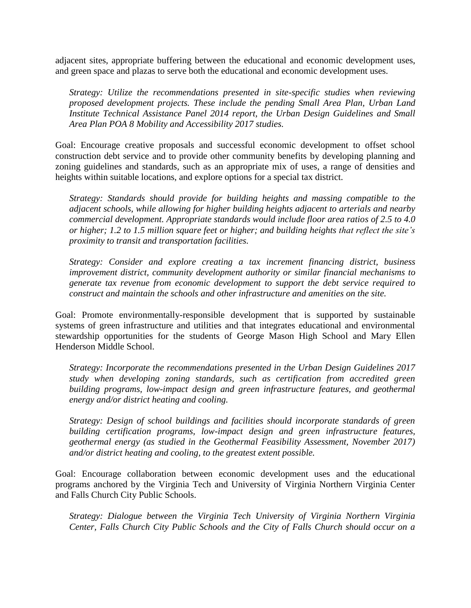adjacent sites, appropriate buffering between the educational and economic development uses, and green space and plazas to serve both the educational and economic development uses.

*Strategy: Utilize the recommendations presented in site-specific studies when reviewing proposed development projects. These include the pending Small Area Plan, Urban Land Institute Technical Assistance Panel 2014 report, the Urban Design Guidelines and Small Area Plan POA 8 Mobility and Accessibility 2017 studies.*

Goal: Encourage creative proposals and successful economic development to offset school construction debt service and to provide other community benefits by developing planning and zoning guidelines and standards, such as an appropriate mix of uses, a range of densities and heights within suitable locations, and explore options for a special tax district.

*Strategy: Standards should provide for building heights and massing compatible to the adjacent schools, while allowing for higher building heights adjacent to arterials and nearby commercial development. Appropriate standards would include floor area ratios of 2.5 to 4.0 or higher; 1.2 to 1.5 million square feet or higher; and building heights that reflect the site's proximity to transit and transportation facilities.*

*Strategy: Consider and explore creating a tax increment financing district, business improvement district, community development authority or similar financial mechanisms to generate tax revenue from economic development to support the debt service required to construct and maintain the schools and other infrastructure and amenities on the site.*

Goal: Promote environmentally-responsible development that is supported by sustainable systems of green infrastructure and utilities and that integrates educational and environmental stewardship opportunities for the students of George Mason High School and Mary Ellen Henderson Middle School.

*Strategy: Incorporate the recommendations presented in the Urban Design Guidelines 2017 study when developing zoning standards, such as certification from accredited green building programs, low-impact design and green infrastructure features, and geothermal energy and/or district heating and cooling.*

*Strategy: Design of school buildings and facilities should incorporate standards of green building certification programs, low-impact design and green infrastructure features, geothermal energy (as studied in the Geothermal Feasibility Assessment, November 2017) and/or district heating and cooling, to the greatest extent possible.* 

Goal: Encourage collaboration between economic development uses and the educational programs anchored by the Virginia Tech and University of Virginia Northern Virginia Center and Falls Church City Public Schools.

*Strategy: Dialogue between the Virginia Tech University of Virginia Northern Virginia Center, Falls Church City Public Schools and the City of Falls Church should occur on a*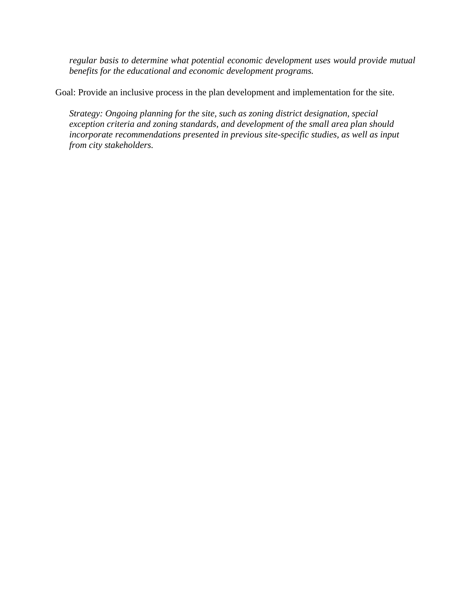*regular basis to determine what potential economic development uses would provide mutual benefits for the educational and economic development programs.* 

Goal: Provide an inclusive process in the plan development and implementation for the site.

*Strategy: Ongoing planning for the site, such as zoning district designation, special exception criteria and zoning standards, and development of the small area plan should*  incorporate recommendations presented in previous site-specific studies, as well as input *from city stakeholders.*